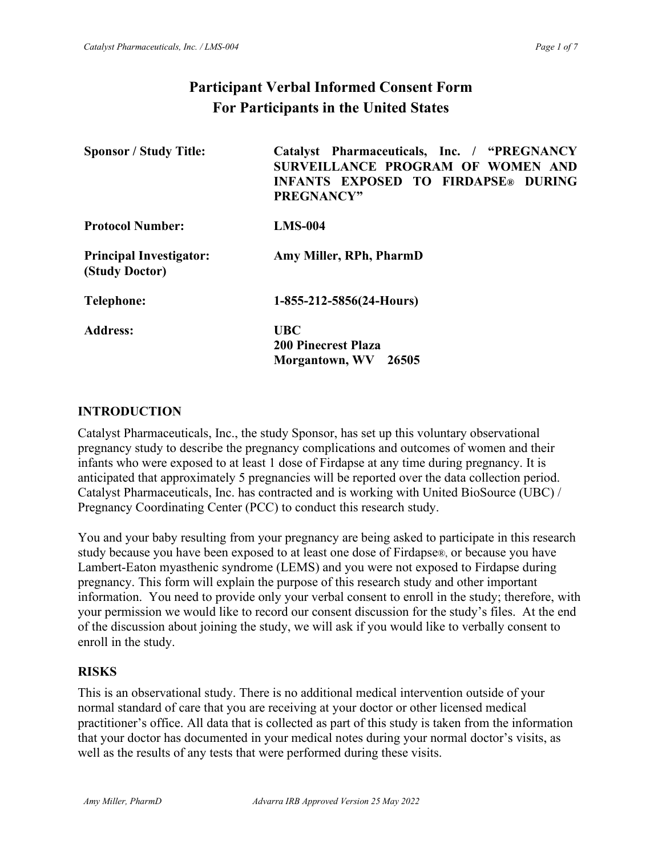# **Participant Verbal Informed Consent Form For Participants in the United States**

| <b>Sponsor / Study Title:</b>                    | Catalyst Pharmaceuticals, Inc. / "PREGNANCY<br>SURVEILLANCE PROGRAM OF WOMEN AND<br><b>INFANTS EXPOSED TO FIRDAPSE® DURING</b><br>PREGNANCY" |
|--------------------------------------------------|----------------------------------------------------------------------------------------------------------------------------------------------|
| <b>Protocol Number:</b>                          | $LMS-004$                                                                                                                                    |
| <b>Principal Investigator:</b><br>(Study Doctor) | Amy Miller, RPh, PharmD                                                                                                                      |
| Telephone:                                       | $1-855-212-5856(24-Hours)$                                                                                                                   |
| <b>Address:</b>                                  | <b>UBC</b><br><b>200 Pinecrest Plaza</b><br>Morgantown, WV<br>26505                                                                          |

#### **INTRODUCTION**

Catalyst Pharmaceuticals, Inc., the study Sponsor, has set up this voluntary observational pregnancy study to describe the pregnancy complications and outcomes of women and their infants who were exposed to at least 1 dose of Firdapse at any time during pregnancy. It is anticipated that approximately 5 pregnancies will be reported over the data collection period. Catalyst Pharmaceuticals, Inc. has contracted and is working with United BioSource (UBC) / Pregnancy Coordinating Center (PCC) to conduct this research study.

You and your baby resulting from your pregnancy are being asked to participate in this research study because you have been exposed to at least one dose of Firdapse®, or because you have Lambert-Eaton myasthenic syndrome (LEMS) and you were not exposed to Firdapse during pregnancy. This form will explain the purpose of this research study and other important information. You need to provide only your verbal consent to enroll in the study; therefore, with your permission we would like to record our consent discussion for the study's files. At the end of the discussion about joining the study, we will ask if you would like to verbally consent to enroll in the study.

#### **RISKS**

This is an observational study. There is no additional medical intervention outside of your normal standard of care that you are receiving at your doctor or other licensed medical practitioner's office. All data that is collected as part of this study is taken from the information that your doctor has documented in your medical notes during your normal doctor's visits, as well as the results of any tests that were performed during these visits.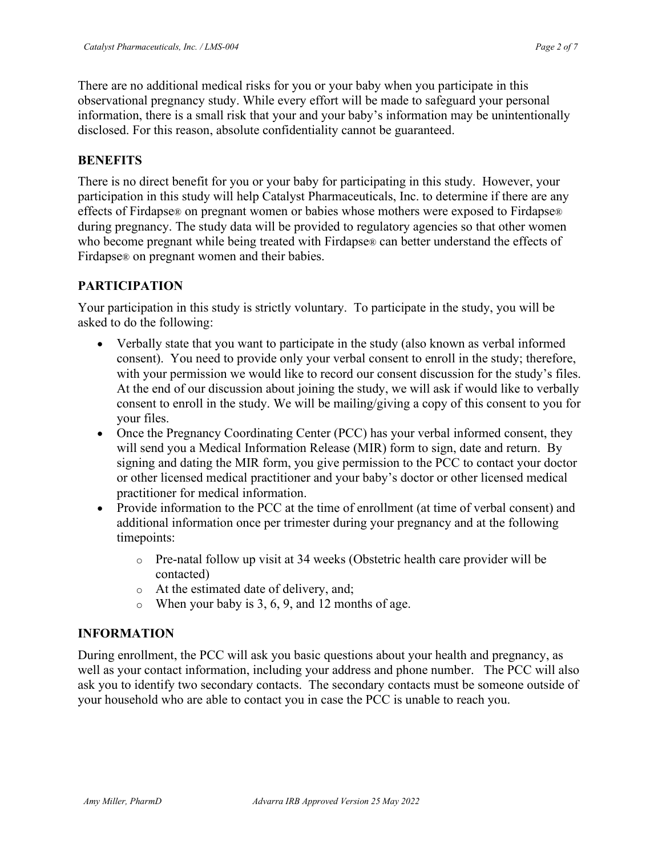There are no additional medical risks for you or your baby when you participate in this observational pregnancy study. While every effort will be made to safeguard your personal information, there is a small risk that your and your baby's information may be unintentionally disclosed. For this reason, absolute confidentiality cannot be guaranteed.

#### **BENEFITS**

There is no direct benefit for you or your baby for participating in this study. However, your participation in this study will help Catalyst Pharmaceuticals, Inc. to determine if there are any effects of Firdapse® on pregnant women or babies whose mothers were exposed to Firdapse® during pregnancy. The study data will be provided to regulatory agencies so that other women who become pregnant while being treated with Firdapse® can better understand the effects of Firdapse® on pregnant women and their babies.

### **PARTICIPATION**

Your participation in this study is strictly voluntary. To participate in the study, you will be asked to do the following:

- Verbally state that you want to participate in the study (also known as verbal informed consent). You need to provide only your verbal consent to enroll in the study; therefore, with your permission we would like to record our consent discussion for the study's files. At the end of our discussion about joining the study, we will ask if would like to verbally consent to enroll in the study. We will be mailing/giving a copy of this consent to you for your files.
- Once the Pregnancy Coordinating Center (PCC) has your verbal informed consent, they will send you a Medical Information Release (MIR) form to sign, date and return. By signing and dating the MIR form, you give permission to the PCC to contact your doctor or other licensed medical practitioner and your baby's doctor or other licensed medical practitioner for medical information.
- Provide information to the PCC at the time of enrollment (at time of verbal consent) and additional information once per trimester during your pregnancy and at the following timepoints:
	- $\circ$  Pre-natal follow up visit at 34 weeks (Obstetric health care provider will be contacted)
	- o At the estimated date of delivery, and;
	- $\circ$  When your baby is 3, 6, 9, and 12 months of age.

### **INFORMATION**

During enrollment, the PCC will ask you basic questions about your health and pregnancy, as well as your contact information, including your address and phone number. The PCC will also ask you to identify two secondary contacts. The secondary contacts must be someone outside of your household who are able to contact you in case the PCC is unable to reach you.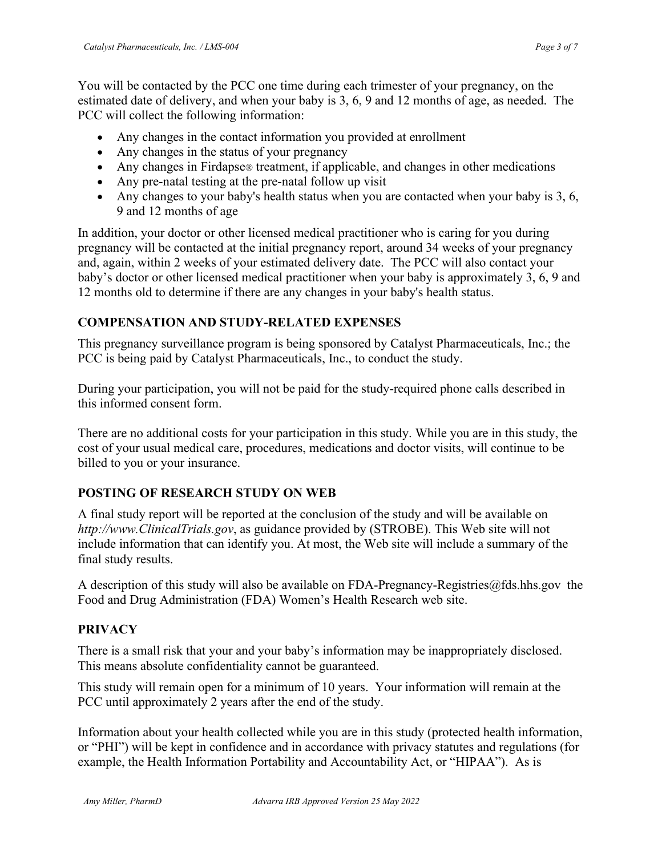You will be contacted by the PCC one time during each trimester of your pregnancy, on the estimated date of delivery, and when your baby is 3, 6, 9 and 12 months of age, as needed. The PCC will collect the following information:

- Any changes in the contact information you provided at enrollment
- Any changes in the status of your pregnancy
- Any changes in Firdapse® treatment, if applicable, and changes in other medications
- Any pre-natal testing at the pre-natal follow up visit
- Any changes to your baby's health status when you are contacted when your baby is 3, 6, 9 and 12 months of age

In addition, your doctor or other licensed medical practitioner who is caring for you during pregnancy will be contacted at the initial pregnancy report, around 34 weeks of your pregnancy and, again, within 2 weeks of your estimated delivery date. The PCC will also contact your baby's doctor or other licensed medical practitioner when your baby is approximately 3, 6, 9 and 12 months old to determine if there are any changes in your baby's health status.

## **COMPENSATION AND STUDY-RELATED EXPENSES**

This pregnancy surveillance program is being sponsored by Catalyst Pharmaceuticals, Inc.; the PCC is being paid by Catalyst Pharmaceuticals, Inc., to conduct the study.

During your participation, you will not be paid for the study-required phone calls described in this informed consent form.

There are no additional costs for your participation in this study. While you are in this study, the cost of your usual medical care, procedures, medications and doctor visits, will continue to be billed to you or your insurance.

## **POSTING OF RESEARCH STUDY ON WEB**

A final study report will be reported at the conclusion of the study and will be available on *http://www.ClinicalTrials.gov*, as guidance provided by (STROBE). This Web site will not include information that can identify you. At most, the Web site will include a summary of the final study results.

A description of this study will also be available on FDA-Pregnancy-Registries@fds.hhs.gov the Food and Drug Administration (FDA) Women's Health Research web site.

## **PRIVACY**

There is a small risk that your and your baby's information may be inappropriately disclosed. This means absolute confidentiality cannot be guaranteed.

This study will remain open for a minimum of 10 years. Your information will remain at the PCC until approximately 2 years after the end of the study.

Information about your health collected while you are in this study (protected health information, or "PHI") will be kept in confidence and in accordance with privacy statutes and regulations (for example, the Health Information Portability and Accountability Act, or "HIPAA"). As is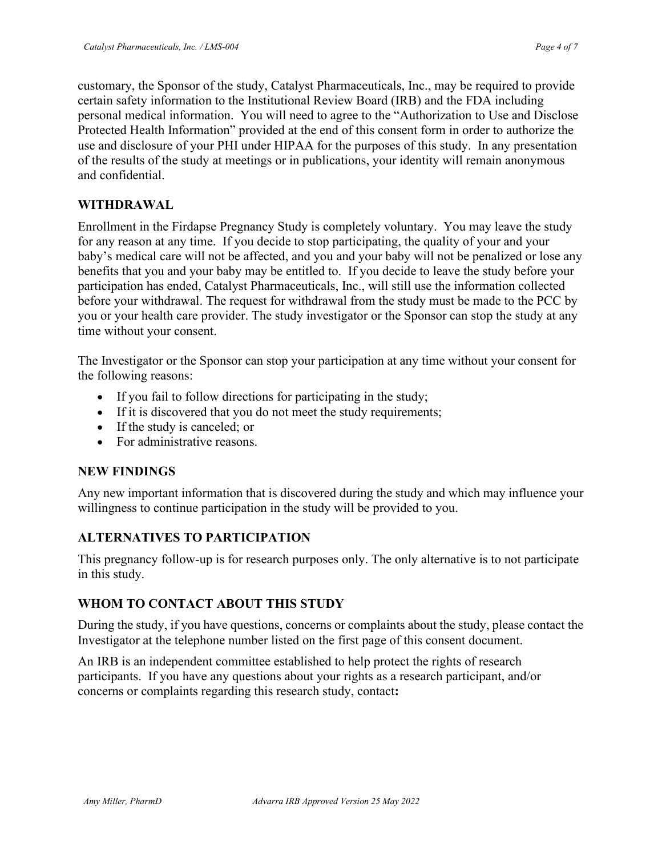customary, the Sponsor of the study, Catalyst Pharmaceuticals, Inc., may be required to provide certain safety information to the Institutional Review Board (IRB) and the FDA including personal medical information. You will need to agree to the "Authorization to Use and Disclose Protected Health Information" provided at the end of this consent form in order to authorize the use and disclosure of your PHI under HIPAA for the purposes of this study. In any presentation of the results of the study at meetings or in publications, your identity will remain anonymous and confidential.

### **WITHDRAWAL**

Enrollment in the Firdapse Pregnancy Study is completely voluntary. You may leave the study for any reason at any time. If you decide to stop participating, the quality of your and your baby's medical care will not be affected, and you and your baby will not be penalized or lose any benefits that you and your baby may be entitled to. If you decide to leave the study before your participation has ended, Catalyst Pharmaceuticals, Inc., will still use the information collected before your withdrawal. The request for withdrawal from the study must be made to the PCC by you or your health care provider. The study investigator or the Sponsor can stop the study at any time without your consent.

The Investigator or the Sponsor can stop your participation at any time without your consent for the following reasons:

- If you fail to follow directions for participating in the study;
- If it is discovered that you do not meet the study requirements;
- If the study is canceled; or
- For administrative reasons.

#### **NEW FINDINGS**

Any new important information that is discovered during the study and which may influence your willingness to continue participation in the study will be provided to you.

#### **ALTERNATIVES TO PARTICIPATION**

This pregnancy follow-up is for research purposes only. The only alternative is to not participate in this study.

### **WHOM TO CONTACT ABOUT THIS STUDY**

During the study, if you have questions, concerns or complaints about the study, please contact the Investigator at the telephone number listed on the first page of this consent document.

An IRB is an independent committee established to help protect the rights of research participants. If you have any questions about your rights as a research participant, and/or concerns or complaints regarding this research study, contact**:**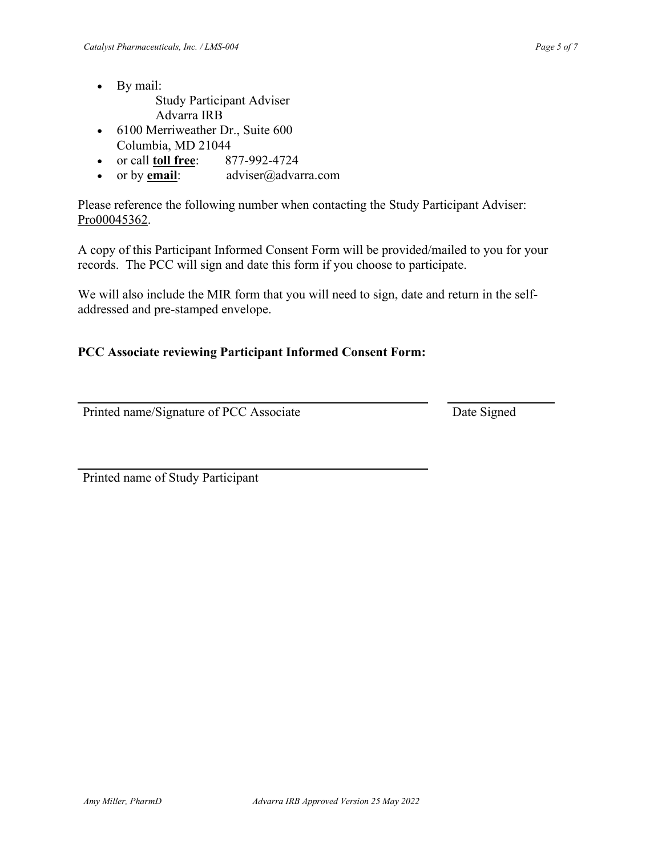- By mail:
	- Study Participant Adviser Advarra IRB
- 6100 Merriweather Dr., Suite 600 Columbia, MD 21044
- or call **toll free**: 877-992-4724
- or by **email**: adviser@advarra.com

Please reference the following number when contacting the Study Participant Adviser: Pro00045362.

A copy of this Participant Informed Consent Form will be provided/mailed to you for your records. The PCC will sign and date this form if you choose to participate.

We will also include the MIR form that you will need to sign, date and return in the selfaddressed and pre-stamped envelope.

### **PCC Associate reviewing Participant Informed Consent Form:**

Printed name/Signature of PCC Associate Date Signed

Printed name of Study Participant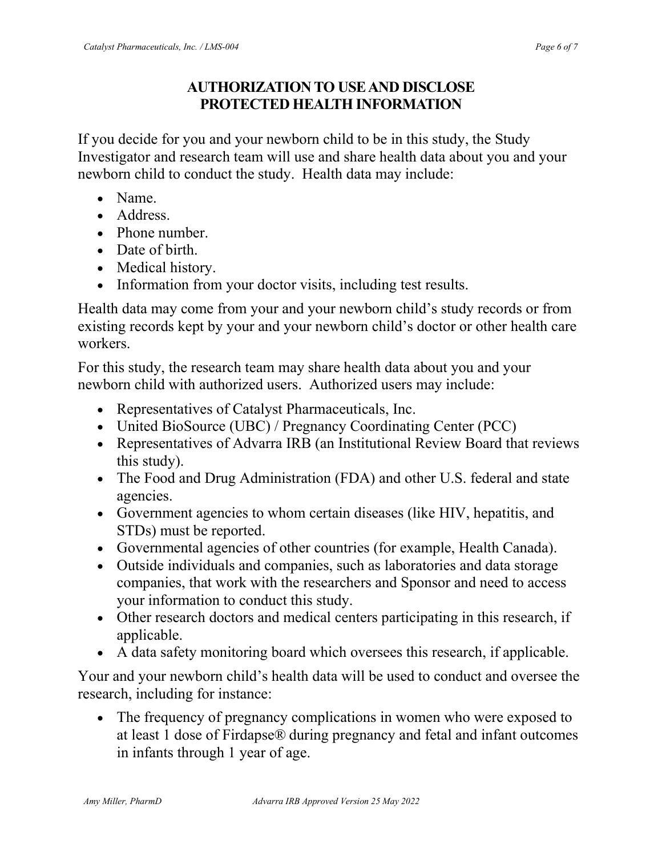## **AUTHORIZATION TO USE AND DISCLOSE PROTECTED HEALTH INFORMATION**

If you decide for you and your newborn child to be in this study, the Study Investigator and research team will use and share health data about you and your newborn child to conduct the study. Health data may include:

- Name.
- Address.
- Phone number.
- Date of birth.
- Medical history.
- Information from your doctor visits, including test results.

Health data may come from your and your newborn child's study records or from existing records kept by your and your newborn child's doctor or other health care workers.

For this study, the research team may share health data about you and your newborn child with authorized users. Authorized users may include:

- Representatives of Catalyst Pharmaceuticals, Inc.
- United BioSource (UBC) / Pregnancy Coordinating Center (PCC)
- Representatives of Advarra IRB (an Institutional Review Board that reviews this study).
- The Food and Drug Administration (FDA) and other U.S. federal and state agencies.
- Government agencies to whom certain diseases (like HIV, hepatitis, and STDs) must be reported.
- Governmental agencies of other countries (for example, Health Canada).
- Outside individuals and companies, such as laboratories and data storage companies, that work with the researchers and Sponsor and need to access your information to conduct this study.
- Other research doctors and medical centers participating in this research, if applicable.
- A data safety monitoring board which oversees this research, if applicable.

Your and your newborn child's health data will be used to conduct and oversee the research, including for instance:

• The frequency of pregnancy complications in women who were exposed to at least 1 dose of Firdapse® during pregnancy and fetal and infant outcomes in infants through 1 year of age.